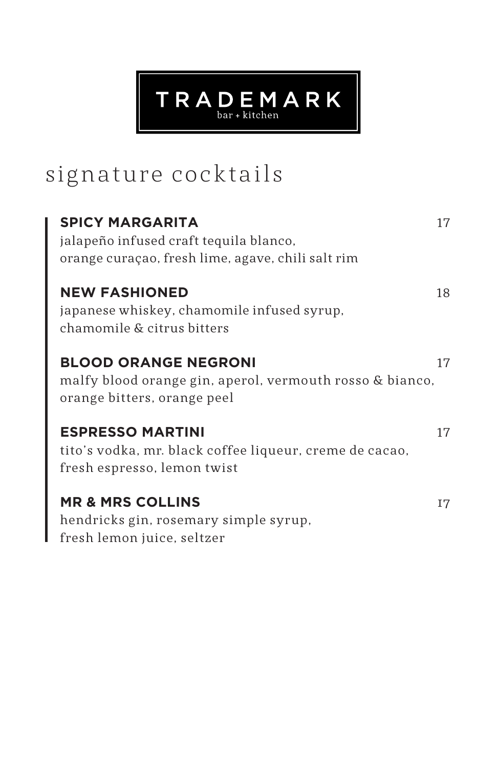## signature cocktails

| <b>SPICY MARGARITA</b><br>jalapeño infused craft tequila blanco,<br>orange curaçao, fresh lime, agave, chili salt rim  | 17 |
|------------------------------------------------------------------------------------------------------------------------|----|
| <b>NEW FASHIONED</b><br>japanese whiskey, chamomile infused syrup,<br>chamomile & citrus bitters                       | 18 |
| <b>BLOOD ORANGE NEGRONI</b><br>malfy blood orange gin, aperol, vermouth rosso & bianco,<br>orange bitters, orange peel | 17 |
| <b>ESPRESSO MARTINI</b><br>tito's vodka, mr. black coffee liqueur, creme de cacao,<br>fresh espresso, lemon twist      | 17 |
| <b>MR &amp; MRS COLLINS</b><br>hendricks gin, rosemary simple syrup,<br>fresh lemon juice, seltzer                     | I7 |

 $TR \, A \, \underset{\text{bar + kitchen}}{\mathbf{D}} \, \underset{\text{Bar + kitchen}}{\mathbf{E}} \, M \, A \, R \, K$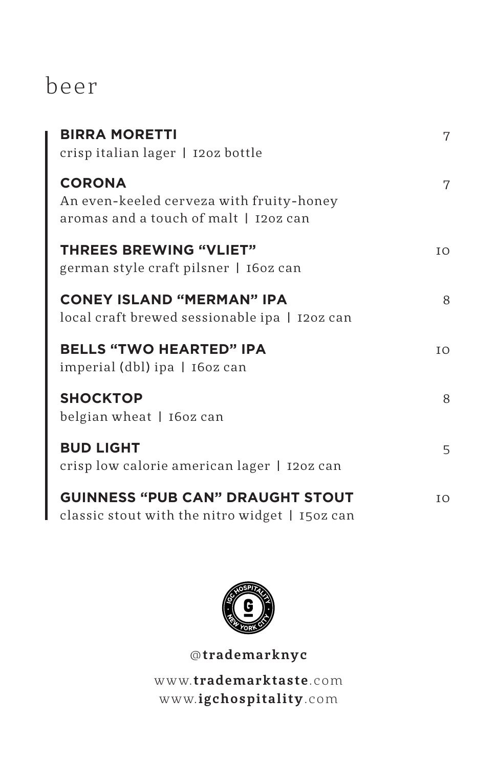## beer

| <b>BIRRA MORETTI</b><br>crispitalian lager   120z bottle                                           | 7  |
|----------------------------------------------------------------------------------------------------|----|
| <b>CORONA</b><br>An even-keeled cerveza with fruity-honey<br>aromas and a touch of malt   120z can | 7  |
| <b>THREES BREWING "VLIET"</b><br>german style craft pilsner   160z can                             | IO |
| <b>CONEY ISLAND "MERMAN" IPA</b><br>local craft brewed sessionable ipa   120z can                  | 8  |
| <b>BELLS "TWO HEARTED" IPA</b><br>imperial (dbl) ipa   160z can                                    | IO |
| <b>SHOCKTOP</b><br>belgian wheat   160z can                                                        | 8  |
| <b>BUD LIGHT</b><br>crisp low calorie american lager   120z can                                    | 5  |
| <b>GUINNESS "PUB CAN" DRAUGHT STOUT</b><br>classic stout with the nitro widget   150z can          | IO |



@**trademarknyc** w w w.**trademarktaste**.com w w w.**igchospitality**.com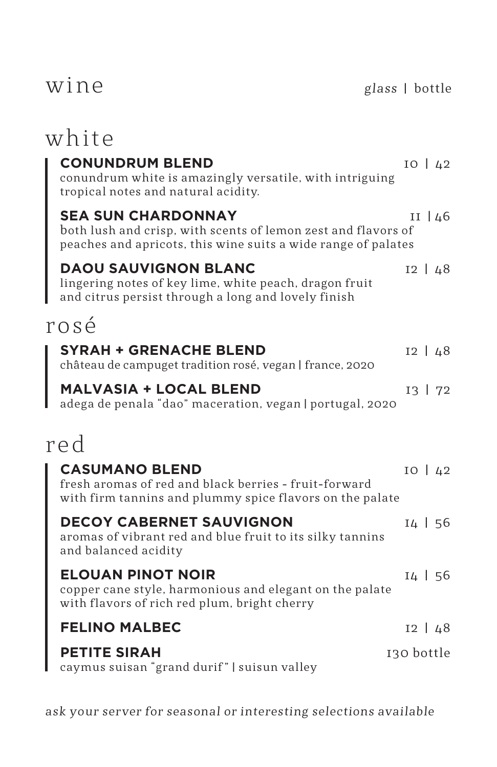## wine

| white                                                                                                                                                       |              |
|-------------------------------------------------------------------------------------------------------------------------------------------------------------|--------------|
| <b>CONUNDRUM BLEND</b><br>conundrum white is amazingly versatile, with intriguing<br>tropical notes and natural acidity.                                    | $IO$ $42$    |
| <b>SEA SUN CHARDONNAY</b><br>both lush and crisp, with scents of lemon zest and flavors of<br>peaches and apricots, this wine suits a wide range of palates | II $ 46$     |
| <b>DAOU SAUVIGNON BLANC</b><br>lingering notes of key lime, white peach, dragon fruit<br>and citrus persist through a long and lovely finish                | $12 \mid 48$ |
| rosé                                                                                                                                                        |              |
| <b>SYRAH + GRENACHE BLEND</b><br>château de campuget tradition rosé, vegan   france, 2020                                                                   | $12 \mid 48$ |
| <b>MALVASIA + LOCAL BLEND</b><br>adega de penala "dao" maceration, vegan   portugal, 2020                                                                   | $13 \mid 72$ |
| red                                                                                                                                                         |              |
| <b>CASUMANO BLEND</b><br>fresh aromas of red and black berries - fruit-forward<br>with firm tannins and plummy spice flavors on the palate                  | $IO$ $42$    |
| <b>DECOY CABERNET SAUVIGNON</b><br>aromas of vibrant red and blue fruit to its silky tannins<br>and balanced acidity                                        | $14$   56    |
| <b>ELOUAN PINOT NOIR</b><br>copper cane style, harmonious and elegant on the palate<br>with flavors of rich red plum, bright cherry                         | 14   56      |
| <b>FELINO MALBEC</b>                                                                                                                                        | $12 \mid 48$ |
| <b>PETITE SIRAH</b><br>caymus suisan "grand durif"   suisun valley                                                                                          | 130 bottle   |

ask your server for seasonal or interesting selections available

glass | bottle